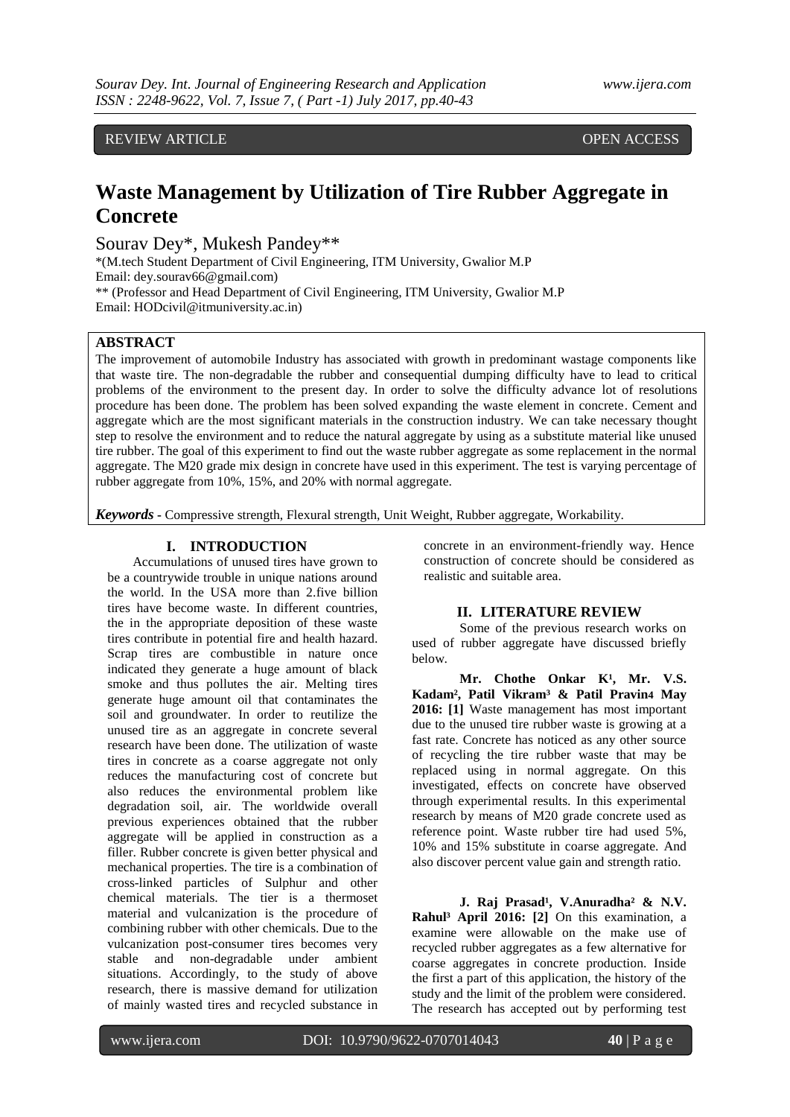REVIEW ARTICLE OPEN ACCESS

# **Waste Management by Utilization of Tire Rubber Aggregate in Concrete**

Sourav Dey\*, Mukesh Pandey\*\*

\*(M.tech Student Department of Civil Engineering, ITM University, Gwalior M.P Email: dey.sourav66@gmail.com) \*\* (Professor and Head Department of Civil Engineering, ITM University, Gwalior M.P Email: HODcivil@itmuniversity.ac.in)

## **ABSTRACT**

The improvement of automobile Industry has associated with growth in predominant wastage components like that waste tire. The non-degradable the rubber and consequential dumping difficulty have to lead to critical problems of the environment to the present day. In order to solve the difficulty advance lot of resolutions procedure has been done. The problem has been solved expanding the waste element in concrete. Cement and aggregate which are the most significant materials in the construction industry. We can take necessary thought step to resolve the environment and to reduce the natural aggregate by using as a substitute material like unused tire rubber. The goal of this experiment to find out the waste rubber aggregate as some replacement in the normal aggregate. The M20 grade mix design in concrete have used in this experiment. The test is varying percentage of rubber aggregate from 10%, 15%, and 20% with normal aggregate.

*Keywords* **-** Compressive strength, Flexural strength, Unit Weight, Rubber aggregate, Workability.

## **I. INTRODUCTION**

Accumulations of unused tires have grown to be a countrywide trouble in unique nations around the world. In the USA more than 2.five billion tires have become waste. In different countries, the in the appropriate deposition of these waste tires contribute in potential fire and health hazard. Scrap tires are combustible in nature once indicated they generate a huge amount of black smoke and thus pollutes the air. Melting tires generate huge amount oil that contaminates the soil and groundwater. In order to reutilize the unused tire as an aggregate in concrete several research have been done. The utilization of waste tires in concrete as a coarse aggregate not only reduces the manufacturing cost of concrete but also reduces the environmental problem like degradation soil, air. The worldwide overall previous experiences obtained that the rubber aggregate will be applied in construction as a filler. Rubber concrete is given better physical and mechanical properties. The tire is a combination of cross-linked particles of Sulphur and other chemical materials. The tier is a thermoset material and vulcanization is the procedure of combining rubber with other chemicals. Due to the vulcanization post-consumer tires becomes very stable and non-degradable under ambient situations. Accordingly, to the study of above research, there is massive demand for utilization of mainly wasted tires and recycled substance in

concrete in an environment-friendly way. Hence construction of concrete should be considered as realistic and suitable area.

#### **II. LITERATURE REVIEW**

Some of the previous research works on used of rubber aggregate have discussed briefly below.

Mr. Chothe Onkar K<sup>1</sup>, Mr. V.S. **Kadam², Patil Vikram³ & Patil Pravin4 May 2016: [1]** Waste management has most important due to the unused tire rubber waste is growing at a fast rate. Concrete has noticed as any other source of recycling the tire rubber waste that may be replaced using in normal aggregate. On this investigated, effects on concrete have observed through experimental results. In this experimental research by means of M20 grade concrete used as reference point. Waste rubber tire had used 5%, 10% and 15% substitute in coarse aggregate. And also discover percent value gain and strength ratio.

**J.** Raj Prasad<sup>1</sup>, V.Anuradha<sup>2</sup> & N.V. **Rahul³ April 2016: [2]** On this examination, a examine were allowable on the make use of recycled rubber aggregates as a few alternative for coarse aggregates in concrete production. Inside the first a part of this application, the history of the study and the limit of the problem were considered. The research has accepted out by performing test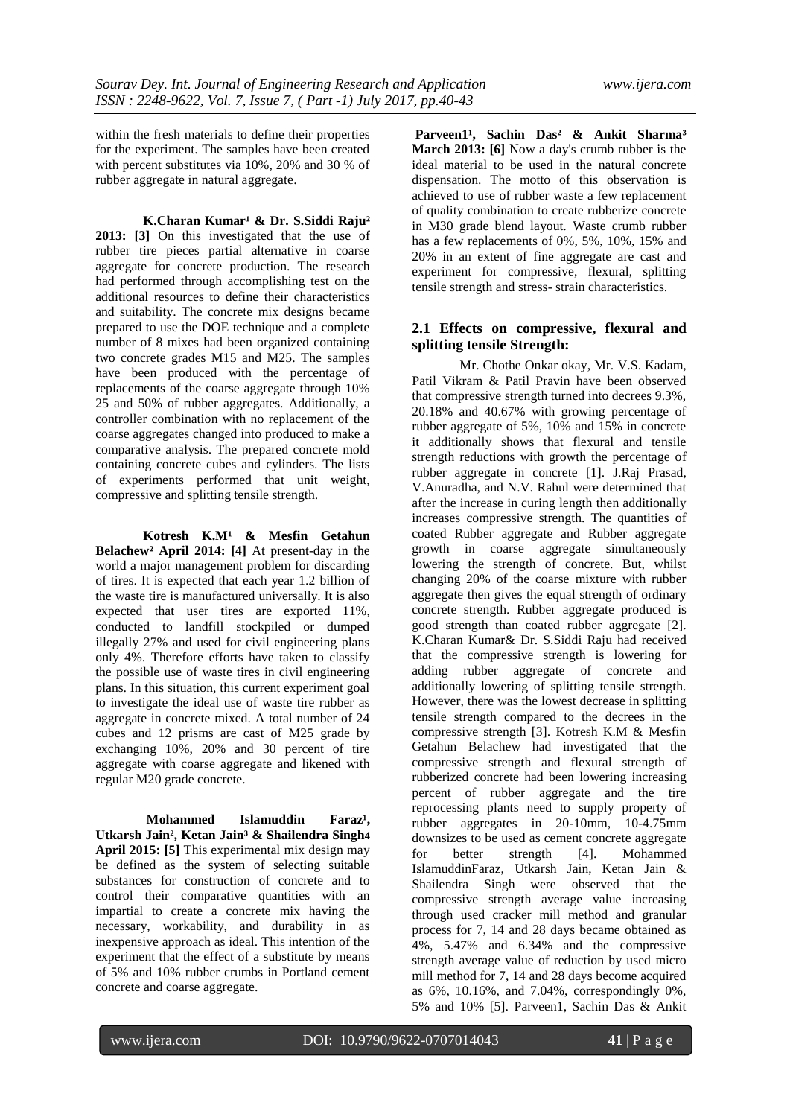within the fresh materials to define their properties for the experiment. The samples have been created with percent substitutes via 10%, 20% and 30 % of rubber aggregate in natural aggregate.

 **K.Charan Kumar¹ & Dr. S.Siddi Raju² 2013: [3]** On this investigated that the use of rubber tire pieces partial alternative in coarse aggregate for concrete production. The research had performed through accomplishing test on the additional resources to define their characteristics and suitability. The concrete mix designs became prepared to use the DOE technique and a complete number of 8 mixes had been organized containing two concrete grades M15 and M25. The samples have been produced with the percentage of replacements of the coarse aggregate through 10% 25 and 50% of rubber aggregates. Additionally, a controller combination with no replacement of the coarse aggregates changed into produced to make a comparative analysis. The prepared concrete mold containing concrete cubes and cylinders. The lists of experiments performed that unit weight, compressive and splitting tensile strength.

 **Kotresh K.M¹ & Mesfin Getahun Belachew² April 2014: [4]** At present-day in the world a major management problem for discarding of tires. It is expected that each year 1.2 billion of the waste tire is manufactured universally. It is also expected that user tires are exported 11%, conducted to landfill stockpiled or dumped illegally 27% and used for civil engineering plans only 4%. Therefore efforts have taken to classify the possible use of waste tires in civil engineering plans. In this situation, this current experiment goal to investigate the ideal use of waste tire rubber as aggregate in concrete mixed. A total number of 24 cubes and 12 prisms are cast of M25 grade by exchanging 10%, 20% and 30 percent of tire aggregate with coarse aggregate and likened with regular M20 grade concrete.

**Mohammed** Islamuddin Faraz<sup>1</sup>, **Utkarsh Jain², Ketan Jain³ & Shailendra Singh4 April 2015: [5]** This experimental mix design may be defined as the system of selecting suitable substances for construction of concrete and to control their comparative quantities with an impartial to create a concrete mix having the necessary, workability, and durability in as inexpensive approach as ideal. This intention of the experiment that the effect of a substitute by means of 5% and 10% rubber crumbs in Portland cement concrete and coarse aggregate.

Parveen1<sup>1</sup>, Sachin Das<sup>2</sup> & Ankit Sharma<sup>3</sup> **March 2013: [6]** Now a day's crumb rubber is the ideal material to be used in the natural concrete dispensation. The motto of this observation is achieved to use of rubber waste a few replacement of quality combination to create rubberize concrete in M30 grade blend layout. Waste crumb rubber has a few replacements of 0%, 5%, 10%, 15% and 20% in an extent of fine aggregate are cast and experiment for compressive, flexural, splitting tensile strength and stress- strain characteristics.

## **2.1 Effects on compressive, flexural and splitting tensile Strength:**

 Mr. Chothe Onkar okay, Mr. V.S. Kadam, Patil Vikram & Patil Pravin have been observed that compressive strength turned into decrees 9.3%, 20.18% and 40.67% with growing percentage of rubber aggregate of 5%, 10% and 15% in concrete it additionally shows that flexural and tensile strength reductions with growth the percentage of rubber aggregate in concrete [1]. J.Raj Prasad, V.Anuradha, and N.V. Rahul were determined that after the increase in curing length then additionally increases compressive strength. The quantities of coated Rubber aggregate and Rubber aggregate growth in coarse aggregate simultaneously lowering the strength of concrete. But, whilst changing 20% of the coarse mixture with rubber aggregate then gives the equal strength of ordinary concrete strength. Rubber aggregate produced is good strength than coated rubber aggregate [2]. K.Charan Kumar& Dr. S.Siddi Raju had received that the compressive strength is lowering for adding rubber aggregate of concrete and additionally lowering of splitting tensile strength. However, there was the lowest decrease in splitting tensile strength compared to the decrees in the compressive strength [3]. Kotresh K.M & Mesfin Getahun Belachew had investigated that the compressive strength and flexural strength of rubberized concrete had been lowering increasing percent of rubber aggregate and the tire reprocessing plants need to supply property of rubber aggregates in 20-10mm, 10-4.75mm downsizes to be used as cement concrete aggregate for better strength [4]. Mohammed IslamuddinFaraz, Utkarsh Jain, Ketan Jain & Shailendra Singh were observed that the compressive strength average value increasing through used cracker mill method and granular process for 7, 14 and 28 days became obtained as 4%, 5.47% and 6.34% and the compressive strength average value of reduction by used micro mill method for 7, 14 and 28 days become acquired as 6%, 10.16%, and 7.04%, correspondingly 0%, 5% and 10% [5]. Parveen1, Sachin Das & Ankit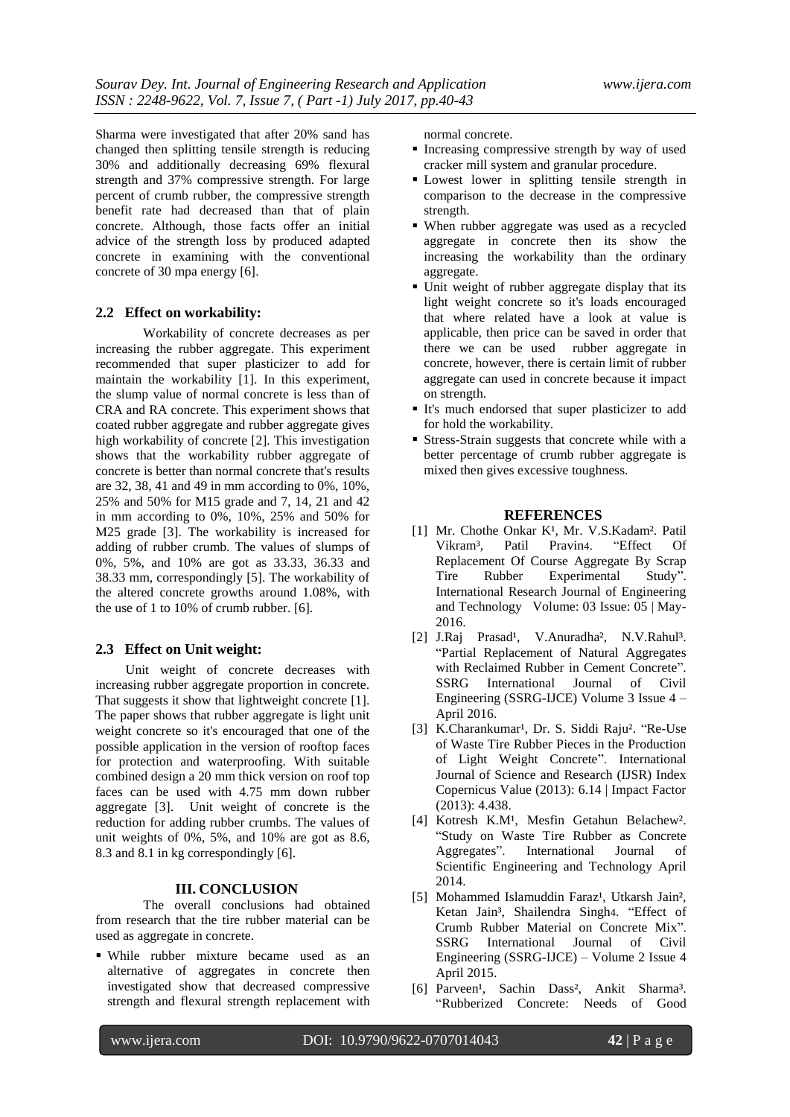Sharma were investigated that after 20% sand has changed then splitting tensile strength is reducing 30% and additionally decreasing 69% flexural strength and 37% compressive strength. For large percent of crumb rubber, the compressive strength benefit rate had decreased than that of plain concrete. Although, those facts offer an initial advice of the strength loss by produced adapted concrete in examining with the conventional concrete of 30 mpa energy [6].

## **2.2 Effect on workability:**

 Workability of concrete decreases as per increasing the rubber aggregate. This experiment recommended that super plasticizer to add for maintain the workability [1]. In this experiment, the slump value of normal concrete is less than of CRA and RA concrete. This experiment shows that coated rubber aggregate and rubber aggregate gives high workability of concrete [2]. This investigation shows that the workability rubber aggregate of concrete is better than normal concrete that's results are 32, 38, 41 and 49 in mm according to 0%, 10%, 25% and 50% for M15 grade and 7, 14, 21 and 42 in mm according to 0%, 10%, 25% and 50% for M25 grade [3]. The workability is increased for adding of rubber crumb. The values of slumps of 0%, 5%, and 10% are got as 33.33, 36.33 and 38.33 mm, correspondingly [5]. The workability of the altered concrete growths around 1.08%, with the use of 1 to 10% of crumb rubber. [6].

## **2.3 Effect on Unit weight:**

 Unit weight of concrete decreases with increasing rubber aggregate proportion in concrete. That suggests it show that lightweight concrete [1]. The paper shows that rubber aggregate is light unit weight concrete so it's encouraged that one of the possible application in the version of rooftop faces for protection and waterproofing. With suitable combined design a 20 mm thick version on roof top faces can be used with 4.75 mm down rubber aggregate [3]. Unit weight of concrete is the reduction for adding rubber crumbs. The values of unit weights of 0%, 5%, and 10% are got as 8.6, 8.3 and 8.1 in kg correspondingly [6].

#### **III. CONCLUSION**

The overall conclusions had obtained from research that the tire rubber material can be used as aggregate in concrete.

 While rubber mixture became used as an alternative of aggregates in concrete then investigated show that decreased compressive strength and flexural strength replacement with

normal concrete.

- **Increasing compressive strength by way of used** cracker mill system and granular procedure.
- Lowest lower in splitting tensile strength in comparison to the decrease in the compressive strength.
- When rubber aggregate was used as a recycled aggregate in concrete then its show the increasing the workability than the ordinary aggregate.
- Unit weight of rubber aggregate display that its light weight concrete so it's loads encouraged that where related have a look at value is applicable, then price can be saved in order that there we can be used rubber aggregate in concrete, however, there is certain limit of rubber aggregate can used in concrete because it impact on strength.
- It's much endorsed that super plasticizer to add for hold the workability.
- Stress-Strain suggests that concrete while with a better percentage of crumb rubber aggregate is mixed then gives excessive toughness.

## **REFERENCES**

- [1] Mr. Chothe Onkar K<sup>1</sup>, Mr. V.S.Kadam<sup>2</sup>. Patil<br>Vikram<sup>3</sup>. Patil Pravin4. "Effect Of Vikram³, Patil Pravin4. "Effect Of Replacement Of Course Aggregate By Scrap Tire Rubber Experimental Study". International Research Journal of Engineering and Technology Volume: 03 Issue: 05 | May-2016.
- [2] J.Raj Prasad<sup>1</sup>, V.Anuradha<sup>2</sup>, N.V.Rahul<sup>3</sup>. "Partial Replacement of Natural Aggregates with Reclaimed Rubber in Cement Concrete". SSRG International Journal of Civil Engineering (SSRG-IJCE) Volume 3 Issue 4 – April 2016.
- [3] K.Charankumar<sup>1</sup>, Dr. S. Siddi Raju<sup>2</sup>. "Re-Use of Waste Tire Rubber Pieces in the Production of Light Weight Concrete". International Journal of Science and Research (IJSR) Index Copernicus Value (2013): 6.14 | Impact Factor (2013): 4.438.
- [4] Kotresh K.M<sup>1</sup>, Mesfin Getahun Belachew<sup>2</sup>. "Study on Waste Tire Rubber as Concrete Aggregates". International Journal of Scientific Engineering and Technology April 2014.
- [5] Mohammed Islamuddin Faraz<sup>1</sup>, Utkarsh Jain<sup>2</sup>, Ketan Jain<sup>3</sup>, Shailendra Singh4. "Effect of Crumb Rubber Material on Concrete Mix". SSRG International Journal of Civil Engineering (SSRG-IJCE) – Volume 2 Issue 4 April 2015.
- [6] Parveen<sup>1</sup>, Sachin Dass<sup>2</sup>, Ankit Sharma<sup>3</sup>. "Rubberized Concrete: Needs of Good